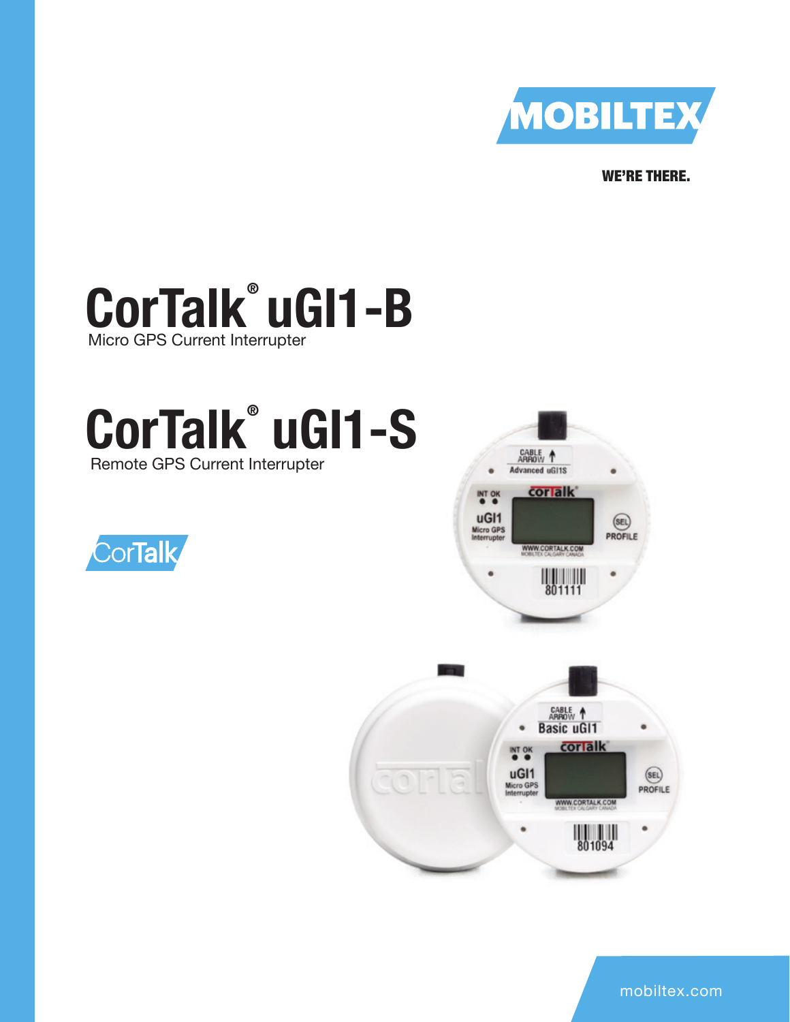

WE'RE THERE.

# **CorTalk® uGI1-B**  Micro GPS Current Interrupter

# **CorTalk® uGI1-S** Remote GPS Current Interrupter







mobiltex.com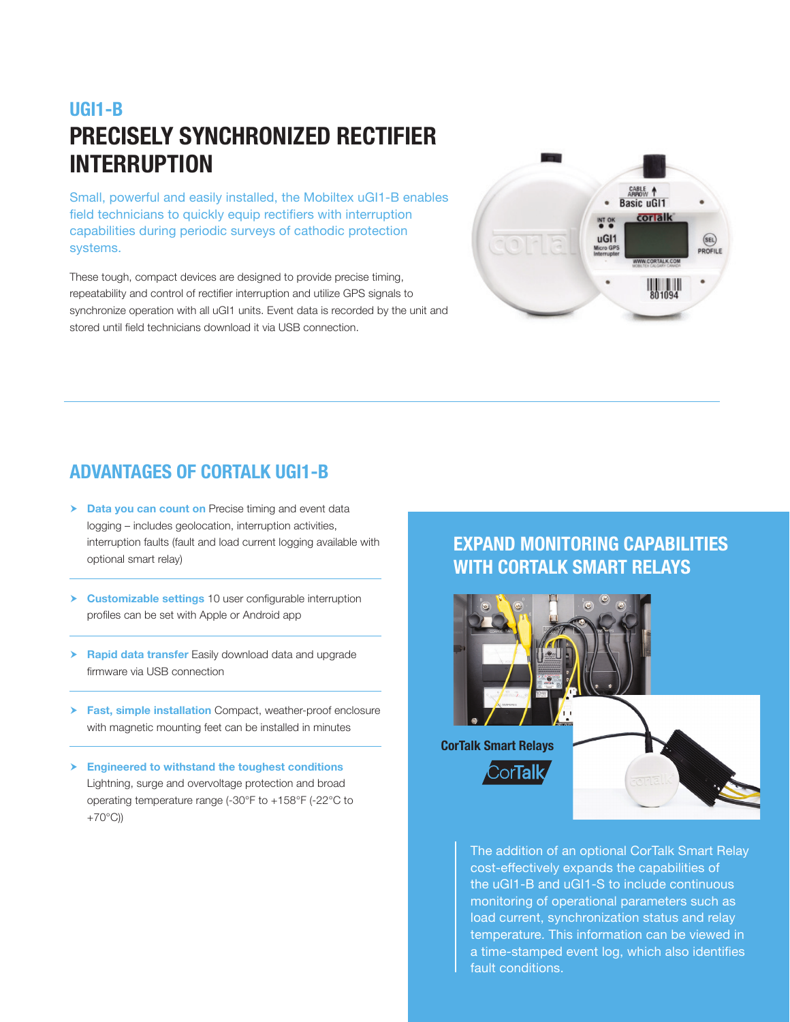### **UGI1-B PRECISELY SYNCHRONIZED RECTIFIER INTERRUPTION**

Small, powerful and easily installed, the Mobiltex uGI1-B enables field technicians to quickly equip rectifiers with interruption capabilities during periodic surveys of cathodic protection systems.

These tough, compact devices are designed to provide precise timing, repeatability and control of rectifier interruption and utilize GPS signals to synchronize operation with all uGI1 units. Event data is recorded by the unit and stored until field technicians download it via USB connection.



### **ADVANTAGES OF CORTALK UGI1-B**

- **h Data you can count on** Precise timing and event data logging – includes geolocation, interruption activities, interruption faults (fault and load current logging available with optional smart relay)
- **Eustomizable settings** 10 user configurable interruption profiles can be set with Apple or Android app
- **h** Rapid data transfer Easily download data and upgrade firmware via USB connection
- **Fast, simple installation** Compact, weather-proof enclosure with magnetic mounting feet can be installed in minutes
- **Engineered to withstand the toughest conditions** Lightning, surge and overvoltage protection and broad operating temperature range (-30°F to +158°F (-22°C to  $+70^{\circ}$ C))

### **EXPAND MONITORING CAPABILITIES WITH CORTALK SMART RELAYS**



The addition of an optional CorTalk Smart Relay cost-effectively expands the capabilities of the uGI1-B and uGI1-S to include continuous monitoring of operational parameters such as load current, synchronization status and relay temperature. This information can be viewed in a time-stamped event log, which also identifies fault conditions.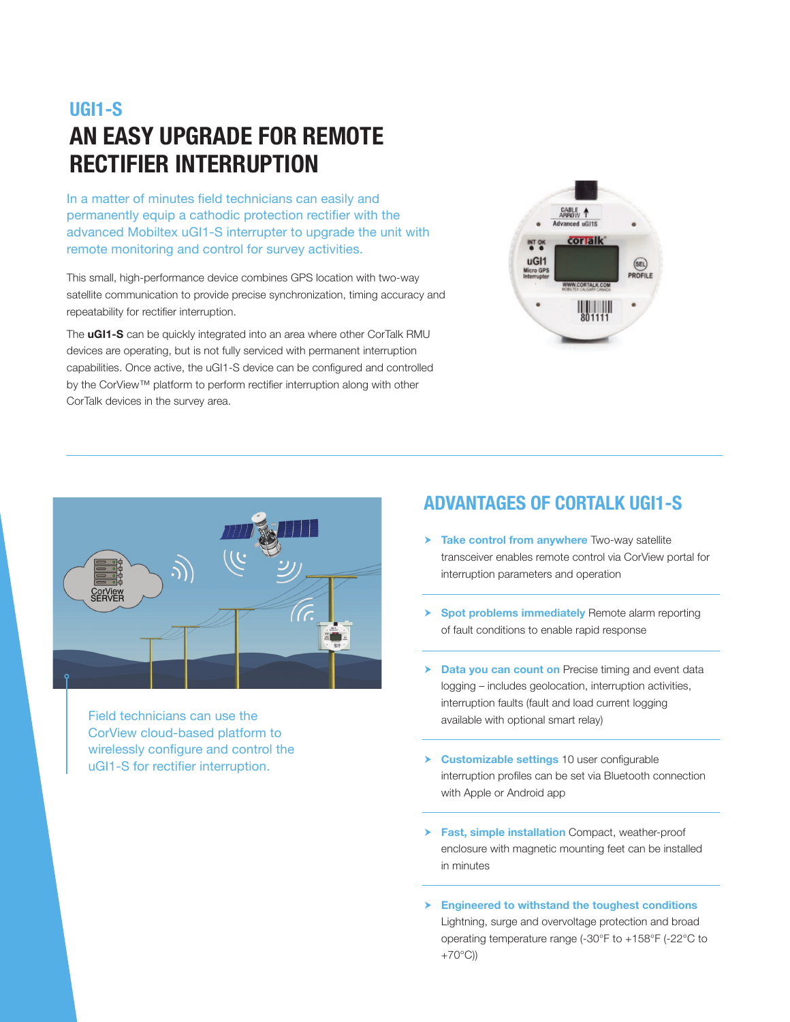## **UGI1-S AN EASY UPGRADE FOR REMOTE RECTIFIER INTERRUPTION**

In a matter of minutes field technicians can easily and permanently equip a cathodic protection rectifier with the advanced Mobiltex uGI1-S interrupter to upgrade the unit with remote monitoring and control for survey activities.

This small, high-performance device combines GPS location with two-way satellite communication to provide precise synchronization, timing accuracy and repeatability for rectifier interruption.

The **uGI1-S** can be quickly integrated into an area where other CorTalk RMU devices are operating, but is not fully serviced with permanent interruption capabilities. Once active, the uGI1-S device can be configured and controlled by the CorView™ platform to perform rectifier interruption along with other CorTalk devices in the survey area.





Field technicians can use the CorView cloud-based platform to wirelessly configure and control the uGI1-S for rectifier interruption.

### **ADVANTAGES OF CORTALK UGI1-S**

- $\triangleright$  **Take control from anywhere** Two-way satellite transceiver enables remote control via CorView portal for interruption parameters and operation
- $\triangleright$  **Spot problems immediately** Remote alarm reporting of fault conditions to enable rapid response
- **h Data you can count on** Precise timing and event data logging – includes geolocation, interruption activities, interruption faults (fault and load current logging available with optional smart relay)
- h **Customizable settings** 10 user configurable interruption profiles can be set via Bluetooth connection with Apple or Android app
- **Fast, simple installation** Compact, weather-proof enclosure with magnetic mounting feet can be installed in minutes
- **Engineered to withstand the toughest conditions** Lightning, surge and overvoltage protection and broad operating temperature range (-30°F to +158°F (-22°C to +70°C))